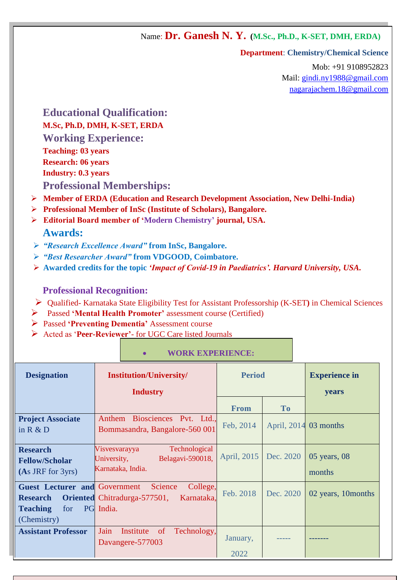Name: **Dr. Ganesh N. Y. (M.Sc., Ph.D., K-SET, DMH, ERDA)**

#### **Department**: **Chemistry/Chemical Science**

Mob: +91 9108952823 Mail: [gindi.ny1988@gmail.com](mailto:gindi.ny1988@gmail.com) [nagarajachem.18@gmail.com](mailto:nagarajachem.18@gmail.com)

# **Educational Qualification: M.Sc, Ph.D, DMH, K-SET, ERDA Working Experience: Teaching: 03 years Research: 06 years Industry: 0.3 years**

**Professional Memberships:** 

- **Member of ERDA (Education and Research Development Association, New Delhi-India)**
- **Professional Member of InSc (Institute of Scholars), Bangalore.**
- **Mmm Editorial Board member of 'Modern Chemistry' journal, USA. Awards:**
- *"Research Excellence Award"* **from InSc, Bangalore.**
- *"Best Researcher Award"* **from VDGOOD, Coimbatore.**
- **Awarded credits for the topic** *'Impact of Covid-19 in Paediatrics'. Harvard University, USA.*

# **Professional Recognition:**

- Qualified- Karnataka State Eligibility Test for Assistant Professorship (K-SET**)** in Chemical Sciences
- Passed **'Mental Health Promoter'** assessment course (Certified)
- Passed **'Preventing Dementia'** Assessment course
- Acted as '**Peer-Reviewer'** for UGC Care listed Journals

| <b>Designation</b>                                                                               | <b>Institution/University/</b><br><b>Industry</b>                                            | <b>Period</b>    |           | <b>Experience in</b><br>years |
|--------------------------------------------------------------------------------------------------|----------------------------------------------------------------------------------------------|------------------|-----------|-------------------------------|
|                                                                                                  |                                                                                              | <b>From</b>      | <b>To</b> |                               |
| <b>Project Associate</b><br>in $R & D$                                                           | Anthem Biosciences Pvt. Ltd.,<br>Bommasandra, Bangalore-560 001                              | Feb, 2014        |           | April, $2014$ 03 months       |
| <b>Research</b><br><b>Fellow/Scholar</b><br>$(As$ JRF for 3yrs)                                  | Technological<br>Visvesvarayya<br>Belagavi-590018,<br>University,<br>Karnataka, India.       | April, 2015      | Dec. 2020 | $05$ years, $08$<br>months    |
| <b>Guest Lecturer and Government</b><br><b>Research</b><br><b>Teaching</b><br>for<br>(Chemistry) | College,<br><b>Science</b><br><b>Oriented</b> Chitradurga-577501,<br>Karnataka,<br>PG India. | Feb. 2018        | Dec. 2020 | 02 years, 10 months           |
| <b>Assistant Professor</b>                                                                       | Jain<br>Technology,<br>Institute<br><sub>of</sub><br>Davangere-577003                        | January,<br>2022 |           |                               |

## **WORK EXPERIENCE:**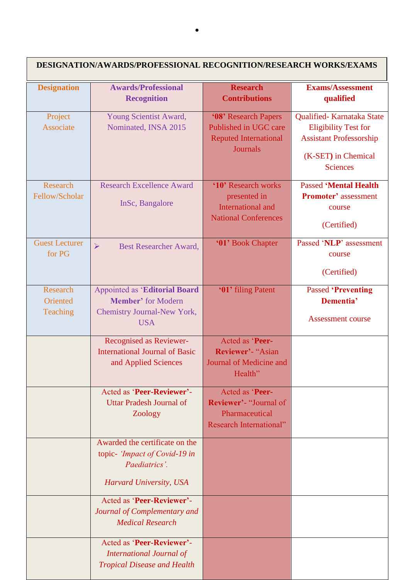| <b>DESIGNATION/AWARDS/PROFESSIONAL RECOGNITION/RESEARCH WORKS/EXAMS</b> |                                                                                                                |                                                                                                      |                                                                                                                                      |  |  |  |
|-------------------------------------------------------------------------|----------------------------------------------------------------------------------------------------------------|------------------------------------------------------------------------------------------------------|--------------------------------------------------------------------------------------------------------------------------------------|--|--|--|
| <b>Designation</b>                                                      | <b>Awards/Professional</b><br><b>Recognition</b>                                                               | <b>Research</b><br><b>Contributions</b>                                                              | <b>Exams/Assessment</b><br>qualified                                                                                                 |  |  |  |
| Project<br>Associate                                                    | Young Scientist Award,<br>Nominated, INSA 2015                                                                 | '08' Research Papers<br>Published in UGC care<br><b>Reputed International</b><br><b>Journals</b>     | Qualified-Karnataka State<br><b>Eligibility Test for</b><br><b>Assistant Professorship</b><br>(K-SET) in Chemical<br><b>Sciences</b> |  |  |  |
| Research<br>Fellow/Scholar                                              | <b>Research Excellence Award</b><br>InSc, Bangalore                                                            | '10' Research works<br>presented in<br>International and<br><b>National Conferences</b>              | <b>Passed 'Mental Health</b><br><b>Promoter'</b> assessment<br>course<br>(Certified)                                                 |  |  |  |
| <b>Guest Lecturer</b><br>for PG                                         | $\blacktriangleright$<br><b>Best Researcher Award,</b>                                                         | '01' Book Chapter                                                                                    | Passed 'NLP' assessment<br>course<br>(Certified)                                                                                     |  |  |  |
| Research<br>Oriented<br>Teaching                                        | <b>Appointed as 'Editorial Board</b><br><b>Member'</b> for Modern<br>Chemistry Journal-New York,<br><b>USA</b> | '01' filing Patent                                                                                   | <b>Passed 'Preventing</b><br>Dementia'<br><b>Assessment course</b>                                                                   |  |  |  |
|                                                                         | Recognised as Reviewer-<br><b>International Journal of Basic</b><br>and Applied Sciences                       | Acted as 'Peer-<br>Reviewer'- "Asian<br>Journal of Medicine and<br>Health"                           |                                                                                                                                      |  |  |  |
|                                                                         | Acted as 'Peer-Reviewer'-<br><b>Uttar Pradesh Journal of</b><br>Zoology                                        | Acted as 'Peer-<br><b>Reviewer'- "Journal of</b><br>Pharmaceutical<br><b>Research International"</b> |                                                                                                                                      |  |  |  |
|                                                                         | Awarded the certificate on the<br>topic- 'Impact of Covid-19 in<br>Paediatrics'.<br>Harvard University, USA    |                                                                                                      |                                                                                                                                      |  |  |  |
|                                                                         | Acted as 'Peer-Reviewer'-<br>Journal of Complementary and<br><b>Medical Research</b>                           |                                                                                                      |                                                                                                                                      |  |  |  |
|                                                                         | Acted as 'Peer-Reviewer'-<br><b>International Journal of</b><br><b>Tropical Disease and Health</b>             |                                                                                                      |                                                                                                                                      |  |  |  |

 $\bullet$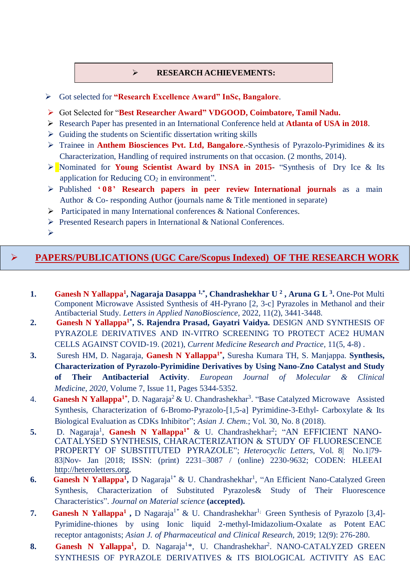#### **RESEARCH ACHIEVEMENTS:**

Got selected for **"Research Excellence Award" InSc, Bangalore**.

- Got Selected for "**Best Researcher Award" VDGOOD, Coimbatore, Tamil Nadu.**
- Research Paper has presented in an International Conference held at **Atlanta of USA in 2018**.
- $\triangleright$  Guiding the students on Scientific dissertation writing skills
- Trainee in **Anthem Biosciences Pvt. Ltd, Bangalore**.-Synthesis of Pyrazolo-Pyrimidines & its Characterization, Handling of required instruments on that occasion. (2 months, 2014).
- Nominated for **Young Scientist Award by INSA in 2015** "Synthesis of Dry Ice & Its application for Reducing  $CO<sub>2</sub>$  in environment".
- Published **' 0 8' Research papers in peer review International journals** as a main Author & Co- responding Author (journals name & Title mentioned in separate)
- Participated in many International conferences & National Conferences.
- $\triangleright$  Presented Research papers in International & National Conferences.

 $\blacktriangleright$ 

## **PAPERS/PUBLICATIONS (UGC Care/Scopus Indexed) OF THE RESEARCH WORK**

- **1. Ganesh N Yallappa<sup>1</sup> , Nagaraja Dasappa 1,\*, Chandrashekhar U <sup>2</sup> , Aruna G L <sup>3</sup> .** One-Pot Multi Component Microwave Assisted Synthesis of 4H-Pyrano [2, 3-c] Pyrazoles in Methanol and their Antibacterial Study. *Letters in Applied NanoBioscience,* 2022, 11(2), 3441-3448.
- **2. Ganesh N Yallappa1\* , S. Rajendra Prasad, Gayatri Vaidya.** DESIGN AND SYNTHESIS OF PYRAZOLE DERIVATIVES AND IN-VITRO SCREENING TO PROTECT ACE2 HUMAN CELLS AGAINST COVID-19. (2021), *Current Medicine Research and Practice,* 11(5, 4-8) .
- **3.** Suresh HM, D. Nagaraja, **Ganesh N Yallappa1\* ,** Suresha Kumara TH, S. Manjappa. **Synthesis, Characterization of Pyrazolo-Pyrimidine Derivatives by Using Nano-Zno Catalyst and Study of Their Antibacterial Activity**. *European Journal of Molecular & Clinical Medicine*, *2020,* Volume 7, Issue 11, Pages 5344-5352.
- 4. **Ganesh N Yallappa<sup>1\*</sup>**, D. Nagaraja<sup>2</sup> & U. Chandrashekhar<sup>3</sup>. "Base Catalyzed Microwave Assisted Synthesis, Characterization of 6-Bromo-Pyrazolo-[1,5-a] Pyrimidine-3-Ethyl- Carboxylate & Its Biological Evaluation as CDKs Inhibitor"; *Asian J. Chem*.; Vol. 30, No. 8 (2018).
- 5. D. Nagaraja<sup>1</sup>, Ganesh N Yallappa<sup>1\*</sup> & U. Chandrashekhar<sup>2</sup>; "AN EFFICIENT NANO-CATALYSED SYNTHESIS, CHARACTERIZATION & STUDY OF FLUORESCENCE PROPERTY OF SUBSTITUTED PYRAZOLE"; *Heterocyclic Letters*, Vol. 8| No.1|79- 83|Nov- Jan |2018; ISSN: (print) 2231–3087 / (online) 2230-9632; CODEN: HLEEAI [http://heteroletters](http://heteroletters.org/).org.
- **6.** Ganesh N Yallappa<sup>1</sup>, D Nagaraja<sup>1\*</sup> & U. Chandrashekhar<sup>1</sup>, "An Efficient Nano-Catalyzed Green Synthesis, Characterization of Substituted Pyrazoles& Study of Their Fluorescence Characteristics". *Journal on Material science* **(accepted).**
- **7.** Ganesh N Yallappa<sup>1</sup>, D Nagaraja<sup>1\*</sup> & U. Chandrashekhar<sup>1;</sup> Green Synthesis of Pyrazolo [3,4]-Pyrimidine-thiones by using Ionic liquid 2-methyl-Imidazolium-Oxalate as Potent EAC receptor antagonists; *Asian J. of Pharmaceutical and Clinical Research,* 2019; 12(9): 276-280.
- 8. Ganesh N Yallappa<sup>1</sup>, D. Nagaraja<sup>1\*</sup>, U. Chandrashekhar<sup>2</sup>. NANO-CATALYZED GREEN SYNTHESIS OF PYRAZOLE DERIVATIVES & ITS BIOLOGICAL ACTIVITY AS EAC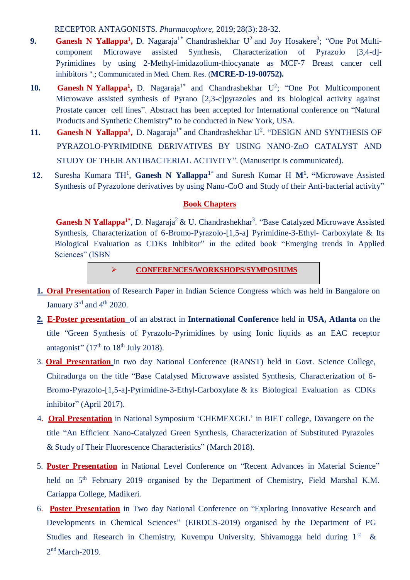RECEPTOR ANTAGONISTS. *Pharmacophore,* 2019; 28(3): 28-32.

- **9.** Ganesh N Yallappa<sup>1</sup>, D. Nagaraja<sup>1\*</sup> Chandrashekhar U<sup>2</sup> and Joy Hosakere<sup>3</sup>; "One Pot Multicomponent Microwave assisted Synthesis, Characterization of Pyrazolo [3,4-d]- Pyrimidines by using 2-Methyl-imidazolium-thiocyanate as MCF-7 Breast cancer cell inhibitors ".; Communicated in Med. Chem. Res. (**MCRE-D-19-00752).**
- **10.** Ganesh N Yallappa<sup>1</sup>, D. Nagaraja<sup>1\*</sup> and Chandrashekhar U<sup>2</sup>; "One Pot Multicomponent Microwave assisted synthesis of Pyrano [2,3-c]pyrazoles and its biological activity against Prostate cancer cell lines". Abstract has been accepted for International conference on "Natural Products and Synthetic Chemistry**"** to be conducted in New York, USA.
- **11. Ganesh N Yallappa<sup>1</sup>, D. Nagaraja<sup>1\*</sup> and Chandrashekhar U<sup>2</sup>. "DESIGN AND SYNTHESIS OF** PYRAZOLO-PYRIMIDINE DERIVATIVES BY USING NANO-ZnO CATALYST AND STUDY OF THEIR ANTIBACTERIAL ACTIVITY". (Manuscript is communicated).
- **12**. Suresha Kumara TH<sup>1</sup> , **Ganesh N Yallappa <sup>1</sup>**\* and Suresh Kumar H **M<sup>1</sup> . "**Microwave Assisted Synthesis of Pyrazolone derivatives by using Nano-CoO and Study of their Anti-bacterial activity"

#### **Book Chapters**

Ganesh N Yallappa<sup>1\*</sup>, D. Nagaraja<sup>2</sup> & U. Chandrashekhar<sup>3</sup>. "Base Catalyzed Microwave Assisted Synthesis, Characterization of 6-Bromo-Pyrazolo-[1,5-a] Pyrimidine-3-Ethyl- Carboxylate & Its Biological Evaluation as CDKs Inhibitor" in the edited book "Emerging trends in Applied Sciences" (ISBN

**CONFERENCES/WORKSHOPS/SYMPOSIUMS**

- **1. Oral Presentation** of Research Paper in Indian Science Congress which was held in Bangalore on January  $3<sup>rd</sup>$  and  $4<sup>th</sup>$  2020.
- **2. E-Poster presentation** of an abstract in **International Conferenc**e held in **USA, Atlanta** on the title "Green Synthesis of Pyrazolo-Pyrimidines by using Ionic liquids as an EAC receptor antagonist" ( $17<sup>th</sup>$  to  $18<sup>th</sup>$  July 2018).
- 3. **Oral Presentation** in two day National Conference (RANST) held in Govt. Science College, Chitradurga on the title "Base Catalysed Microwave assisted Synthesis, Characterization of 6- Bromo-Pyrazolo-[1,5-a]-Pyrimidine-3-Ethyl-Carboxylate & its Biological Evaluation as CDKs inhibitor" (April 2017).
- 4. **Oral Presentation** in National Symposium 'CHEMEXCEL' in BIET college, Davangere on the title "An Efficient Nano-Catalyzed Green Synthesis, Characterization of Substituted Pyrazoles & Study of Their Fluorescence Characteristics" (March 2018).
- 5. **Poster Presentation** in National Level Conference on "Recent Advances in Material Science" held on 5<sup>th</sup> February 2019 organised by the Department of Chemistry, Field Marshal K.M. Cariappa College, Madikeri.
- 6. **Poster Presentation** in Two day National Conference on "Exploring Innovative Research and Developments in Chemical Sciences" (EIRDCS-2019) organised by the Department of PG Studies and Research in Chemistry, Kuvempu University, Shivamogga held during 1<sup>st</sup> &  $2<sup>nd</sup> March-2019$ .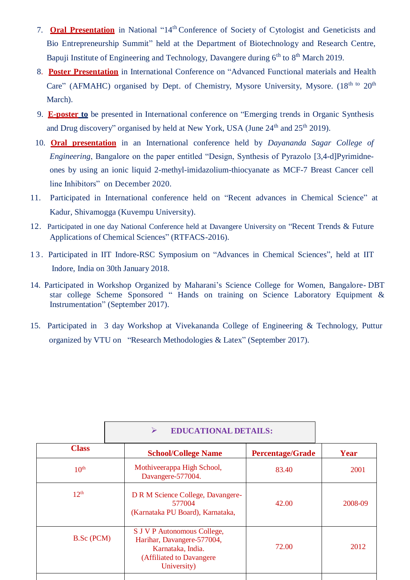- 7. **Oral Presentation** in National "14<sup>th</sup> Conference of Society of Cytologist and Geneticists and Bio Entrepreneurship Summit" held at the Department of Biotechnology and Research Centre, Bapuji Institute of Engineering and Technology, Davangere during 6<sup>th</sup> to 8<sup>th</sup> March 2019.
- 8. **Poster Presentation** in International Conference on "Advanced Functional materials and Health Care" (AFMAHC) organised by Dept. of Chemistry, Mysore University, Mysore. (18<sup>th to</sup> 20<sup>th</sup> March).
- 9. **E-poster to** be presented in International conference on "Emerging trends in Organic Synthesis and Drug discovery" organised by held at New York, USA (June 24<sup>th</sup> and 25<sup>th</sup> 2019).
- 10. **Oral presentation** in an International conference held by *Dayananda Sagar College of Engineering*, Bangalore on the paper entitled "Design, Synthesis of Pyrazolo [3,4-d]Pyrimidneones by using an ionic liquid 2-methyl-imidazolium-thiocyanate as MCF-7 Breast Cancer cell line Inhibitors" on December 2020.
- 11. Participated in International conference held on "Recent advances in Chemical Science" at Kadur, Shivamogga (Kuvempu University).
- 12. Participated in one day National Conference held at Davangere University on "Recent Trends & Future Applications of Chemical Sciences" (RTFACS-2016).
- 1 3 . Participated in IIT Indore-RSC Symposium on "Advances in Chemical Sciences", held at IIT Indore, India on 30th January 2018.
- 14. Participated in Workshop Organized by Maharani's Science College for Women, Bangalore- DBT star college Scheme Sponsored " Hands on training on Science Laboratory Equipment & Instrumentation" (September 2017).
- 15. Participated in 3 day Workshop at Vivekananda College of Engineering & Technology, Puttur organized by VTU on "Research Methodologies & Latex" (September 2017).

|                   | <b>EDUCATIONAL DETAILS:</b><br>⋗                                                                                           |                         |         |
|-------------------|----------------------------------------------------------------------------------------------------------------------------|-------------------------|---------|
| <b>Class</b>      | <b>School/College Name</b>                                                                                                 | <b>Percentage/Grade</b> | Year    |
| 10 <sup>th</sup>  | Mothiveerappa High School,<br>Davangere-577004.                                                                            | 83.40                   | 2001    |
| 12 <sup>th</sup>  | D R M Science College, Davangere-<br>577004<br>(Karnataka PU Board), Karnataka,                                            | 42.00                   | 2008-09 |
| <b>B.Sc</b> (PCM) | S J V P Autonomous College,<br>Harihar, Davangere-577004,<br>Karnataka, India.<br>(Affiliated to Davangere)<br>University) | 72.00                   | 2012    |
|                   |                                                                                                                            |                         |         |